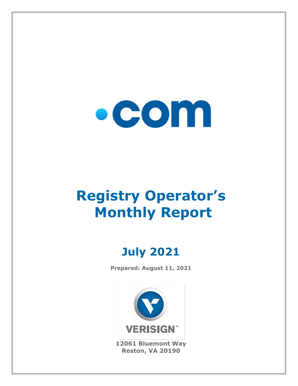

# **Registry Operator's Monthly Report**

## **July 2021**

**Prepared: August 11, 2021**



**12061 Bluemont Way Reston, VA 20190**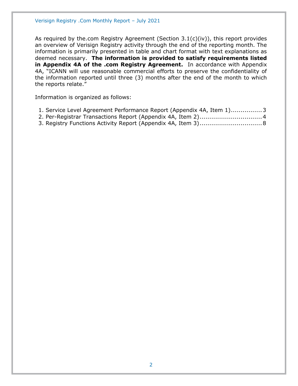As required by the.com Registry Agreement (Section  $3.1(c)(iv)$ ), this report provides an overview of Verisign Registry activity through the end of the reporting month. The information is primarily presented in table and chart format with text explanations as deemed necessary. **The information is provided to satisfy requirements listed in Appendix 4A of the .com Registry Agreement.** In accordance with Appendix 4A, "ICANN will use reasonable commercial efforts to preserve the confidentiality of the information reported until three (3) months after the end of the month to which the reports relate."

Information is organized as follows:

| 1. Service Level Agreement Performance Report (Appendix 4A, Item 1)3 |  |  |  |
|----------------------------------------------------------------------|--|--|--|
|----------------------------------------------------------------------|--|--|--|

- [2. Per-Registrar Transactions Report \(Appendix 4A,](#page-3-0) Item 2)................................4
- [3. Registry Functions Activity Report \(Appendix 4A, Item 3\)................................8](#page-7-0)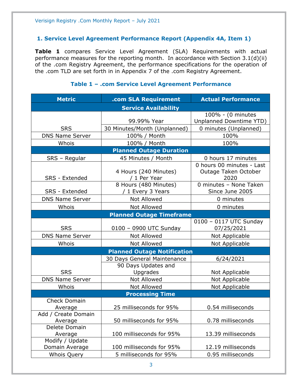#### <span id="page-2-0"></span>**1. Service Level Agreement Performance Report (Appendix 4A, Item 1)**

**Table 1** compares Service Level Agreement (SLA) Requirements with actual performance measures for the reporting month. In accordance with Section 3.1(d)(ii) of the .com Registry Agreement, the performance specifications for the operation of the .com TLD are set forth in in Appendix 7 of the .com Registry Agreement.

#### **Metric .com SLA Requirement Actual Performance Service Availability** SRS 99.99% Year 100% - (0 minutes Unplanned Downtime YTD) 30 Minutes/Month (Unplanned) | 0 minutes (Unplanned) DNS Name Server | 100% / Month | 100% Whois 100% / Month 100% **Planned Outage Duration** SRS – Regular | 45 Minutes / Month | 0 hours 17 minutes SRS - Extended 4 Hours (240 Minutes) / 1 Per Year 0 hours 00 minutes - Last Outage Taken October 2020 SRS - Extended 8 Hours (480 Minutes) / 1 Every 3 Years 0 minutes – None Taken Since June 2005 DNS Name Server  $\begin{array}{ccc} \hline \text{Not} & \text{Allowed} & \text{O} & \text{O} \\ \hline \end{array}$ Whois  $\vert$  Not Allowed  $\vert$  0 minutes **Planned Outage Timeframe** SRS | 0100 – 0900 UTC Sunday 0100 – 0117 UTC Sunday 07/25/2021 DNS Name Server | Not Allowed | Not Applicable Whois  $\vert$  Not Allowed  $\vert$  Not Applicable **Planned Outage Notification** SRS 30 Days General Maintenance | 6/24/2021 90 Days Updates and Upgrades | Not Applicable DNS Name Server | Not Allowed | Not Applicable Whois | Not Allowed | Not Applicable **Processing Time** Check Domain Average 25 milliseconds for 95% 0.54 milliseconds Add / Create Domain Average 1.1 50 milliseconds for 95% 1.1 0.78 milliseconds Delete Domain Average 100 milliseconds for 95% 13.39 milliseconds Modify / Update Domain Average 100 milliseconds for 95% 12.19 milliseconds Whois Ouery **1** 5 milliseconds for 95% 1 0.95 milliseconds

#### **Table 1 – .com Service Level Agreement Performance**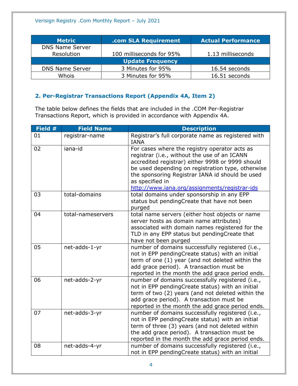| <b>Metric</b>           | .com SLA Requirement     | <b>Actual Performance</b> |  |
|-------------------------|--------------------------|---------------------------|--|
| <b>DNS Name Server</b>  |                          |                           |  |
| Resolution              | 100 milliseconds for 95% | 1.13 milliseconds         |  |
| <b>Update Frequency</b> |                          |                           |  |
| <b>DNS Name Server</b>  | 3 Minutes for 95%        | 16.54 seconds             |  |
| Whois                   | 3 Minutes for 95%        | 16.51 seconds             |  |

### <span id="page-3-0"></span>**2. Per-Registrar Transactions Report (Appendix 4A, Item 2)**

The table below defines the fields that are included in the .COM Per-Registrar Transactions Report, which is provided in accordance with Appendix 4A.

| Field # | <b>Field Name</b> | <b>Description</b>                                                                                                                                                                                                                                                                                                            |
|---------|-------------------|-------------------------------------------------------------------------------------------------------------------------------------------------------------------------------------------------------------------------------------------------------------------------------------------------------------------------------|
| 01      | registrar-name    | Registrar's full corporate name as registered with<br><b>IANA</b>                                                                                                                                                                                                                                                             |
| 02      | iana-id           | For cases where the registry operator acts as<br>registrar (i.e., without the use of an ICANN<br>accredited registrar) either 9998 or 9999 should<br>be used depending on registration type, otherwise<br>the sponsoring Registrar IANA id should be used<br>as specified in<br>http://www.iana.org/assignments/registrar-ids |
| 03      | total-domains     | total domains under sponsorship in any EPP<br>status but pendingCreate that have not been<br>purged                                                                                                                                                                                                                           |
| 04      | total-nameservers | total name servers (either host objects or name<br>server hosts as domain name attributes)<br>associated with domain names registered for the<br>TLD in any EPP status but pendingCreate that<br>have not been purged                                                                                                         |
| 05      | net-adds-1-yr     | number of domains successfully registered (i.e.,<br>not in EPP pendingCreate status) with an initial<br>term of one (1) year (and not deleted within the<br>add grace period). A transaction must be<br>reported in the month the add grace period ends.                                                                      |
| 06      | net-adds-2-yr     | number of domains successfully registered (i.e.,<br>not in EPP pendingCreate status) with an initial<br>term of two (2) years (and not deleted within the<br>add grace period). A transaction must be<br>reported in the month the add grace period ends.                                                                     |
| 07      | net-adds-3-yr     | number of domains successfully registered (i.e.,<br>not in EPP pendingCreate status) with an initial<br>term of three (3) years (and not deleted within<br>the add grace period). A transaction must be<br>reported in the month the add grace period ends.                                                                   |
| 08      | net-adds-4-yr     | number of domains successfully registered (i.e.,<br>not in EPP pendingCreate status) with an initial                                                                                                                                                                                                                          |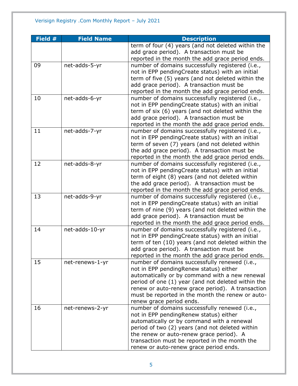| Field # | <b>Field Name</b> | <b>Description</b>                                 |
|---------|-------------------|----------------------------------------------------|
|         |                   | term of four (4) years (and not deleted within the |
|         |                   | add grace period). A transaction must be           |
|         |                   | reported in the month the add grace period ends.   |
| 09      | net-adds-5-yr     | number of domains successfully registered (i.e.,   |
|         |                   | not in EPP pendingCreate status) with an initial   |
|         |                   | term of five (5) years (and not deleted within the |
|         |                   | add grace period). A transaction must be           |
|         |                   | reported in the month the add grace period ends.   |
| 10      | net-adds-6-yr     | number of domains successfully registered (i.e.,   |
|         |                   | not in EPP pendingCreate status) with an initial   |
|         |                   | term of six (6) years (and not deleted within the  |
|         |                   | add grace period). A transaction must be           |
|         |                   | reported in the month the add grace period ends.   |
| 11      | net-adds-7-yr     | number of domains successfully registered (i.e.,   |
|         |                   | not in EPP pendingCreate status) with an initial   |
|         |                   | term of seven (7) years (and not deleted within    |
|         |                   | the add grace period). A transaction must be       |
|         |                   | reported in the month the add grace period ends.   |
| 12      | net-adds-8-yr     | number of domains successfully registered (i.e.,   |
|         |                   | not in EPP pendingCreate status) with an initial   |
|         |                   | term of eight (8) years (and not deleted within    |
|         |                   | the add grace period). A transaction must be       |
|         |                   | reported in the month the add grace period ends.   |
| 13      | net-adds-9-yr     | number of domains successfully registered (i.e.,   |
|         |                   | not in EPP pendingCreate status) with an initial   |
|         |                   | term of nine (9) years (and not deleted within the |
|         |                   | add grace period). A transaction must be           |
|         |                   | reported in the month the add grace period ends.   |
| 14      | net-adds-10-yr    | number of domains successfully registered (i.e.,   |
|         |                   | not in EPP pendingCreate status) with an initial   |
|         |                   | term of ten (10) years (and not deleted within the |
|         |                   | add grace period). A transaction must be           |
|         |                   | reported in the month the add grace period ends.   |
| 15      | net-renews-1-yr   | number of domains successfully renewed (i.e.,      |
|         |                   | not in EPP pendingRenew status) either             |
|         |                   | automatically or by command with a new renewal     |
|         |                   | period of one (1) year (and not deleted within the |
|         |                   | renew or auto-renew grace period). A transaction   |
|         |                   | must be reported in the month the renew or auto-   |
|         |                   | renew grace period ends.                           |
| 16      | net-renews-2-yr   | number of domains successfully renewed (i.e.,      |
|         |                   | not in EPP pending Renew status) either            |
|         |                   | automatically or by command with a renewal         |
|         |                   | period of two (2) years (and not deleted within    |
|         |                   | the renew or auto-renew grace period). A           |
|         |                   | transaction must be reported in the month the      |
|         |                   | renew or auto-renew grace period ends.             |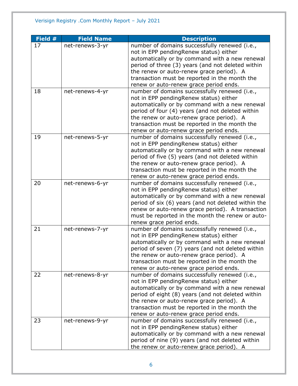| Field # | <b>Field Name</b> | <b>Description</b>                                                                                  |
|---------|-------------------|-----------------------------------------------------------------------------------------------------|
| 17      | net-renews-3-yr   | number of domains successfully renewed (i.e.,                                                       |
|         |                   | not in EPP pendingRenew status) either                                                              |
|         |                   | automatically or by command with a new renewal                                                      |
|         |                   | period of three (3) years (and not deleted within                                                   |
|         |                   | the renew or auto-renew grace period). A                                                            |
|         |                   | transaction must be reported in the month the                                                       |
|         |                   | renew or auto-renew grace period ends.                                                              |
| 18      | net-renews-4-yr   | number of domains successfully renewed (i.e.,                                                       |
|         |                   | not in EPP pendingRenew status) either                                                              |
|         |                   | automatically or by command with a new renewal                                                      |
|         |                   | period of four (4) years (and not deleted within                                                    |
|         |                   | the renew or auto-renew grace period). A                                                            |
|         |                   | transaction must be reported in the month the                                                       |
|         |                   | renew or auto-renew grace period ends.                                                              |
| 19      | net-renews-5-yr   | number of domains successfully renewed (i.e.,                                                       |
|         |                   | not in EPP pendingRenew status) either                                                              |
|         |                   | automatically or by command with a new renewal                                                      |
|         |                   | period of five (5) years (and not deleted within                                                    |
|         |                   | the renew or auto-renew grace period). A                                                            |
|         |                   | transaction must be reported in the month the                                                       |
|         |                   | renew or auto-renew grace period ends.                                                              |
| 20      | net-renews-6-yr   | number of domains successfully renewed (i.e.,                                                       |
|         |                   | not in EPP pendingRenew status) either                                                              |
|         |                   | automatically or by command with a new renewal                                                      |
|         |                   | period of six (6) years (and not deleted within the                                                 |
|         |                   | renew or auto-renew grace period). A transaction                                                    |
|         |                   | must be reported in the month the renew or auto-                                                    |
|         |                   | renew grace period ends.                                                                            |
| 21      | net-renews-7-yr   | number of domains successfully renewed (i.e.,                                                       |
|         |                   | not in EPP pendingRenew status) either                                                              |
|         |                   | automatically or by command with a new renewal                                                      |
|         |                   | period of seven (7) years (and not deleted within                                                   |
|         |                   | the renew or auto-renew grace period). A                                                            |
|         |                   | transaction must be reported in the month the                                                       |
|         |                   | renew or auto-renew grace period ends.                                                              |
| 22      | net-renews-8-yr   | number of domains successfully renewed (i.e.,                                                       |
|         |                   | not in EPP pendingRenew status) either                                                              |
|         |                   | automatically or by command with a new renewal<br>period of eight (8) years (and not deleted within |
|         |                   | the renew or auto-renew grace period). A                                                            |
|         |                   | transaction must be reported in the month the                                                       |
|         |                   | renew or auto-renew grace period ends.                                                              |
| 23      | net-renews-9-yr   | number of domains successfully renewed (i.e.,                                                       |
|         |                   | not in EPP pendingRenew status) either                                                              |
|         |                   | automatically or by command with a new renewal                                                      |
|         |                   | period of nine (9) years (and not deleted within                                                    |
|         |                   |                                                                                                     |
|         |                   | the renew or auto-renew grace period). A                                                            |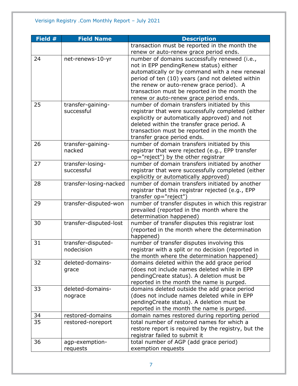| <b>Field Name</b> | <b>Description</b>                                                                                                                             |
|-------------------|------------------------------------------------------------------------------------------------------------------------------------------------|
|                   | transaction must be reported in the month the                                                                                                  |
|                   | renew or auto-renew grace period ends.                                                                                                         |
| net-renews-10-yr  | number of domains successfully renewed (i.e.,                                                                                                  |
|                   | not in EPP pendingRenew status) either                                                                                                         |
|                   | automatically or by command with a new renewal                                                                                                 |
|                   | period of ten (10) years (and not deleted within                                                                                               |
|                   | the renew or auto-renew grace period). A                                                                                                       |
|                   | transaction must be reported in the month the                                                                                                  |
|                   | renew or auto-renew grace period ends.                                                                                                         |
| transfer-gaining- | number of domain transfers initiated by this                                                                                                   |
| successful        | registrar that were successfully completed (either                                                                                             |
|                   | explicitly or automatically approved) and not                                                                                                  |
|                   | deleted within the transfer grace period. A                                                                                                    |
|                   | transaction must be reported in the month the                                                                                                  |
|                   | transfer grace period ends.                                                                                                                    |
| transfer-gaining- | number of domain transfers initiated by this                                                                                                   |
| nacked            | registrar that were rejected (e.g., EPP transfer                                                                                               |
|                   | op="reject") by the other registrar                                                                                                            |
|                   | number of domain transfers initiated by another                                                                                                |
| successful        | registrar that were successfully completed (either                                                                                             |
|                   | explicitly or automatically approved)                                                                                                          |
|                   | number of domain transfers initiated by another                                                                                                |
|                   | registrar that this registrar rejected (e.g., EPP                                                                                              |
|                   | transfer op="reject")                                                                                                                          |
|                   | number of transfer disputes in which this registrar                                                                                            |
|                   | prevailed (reported in the month where the                                                                                                     |
|                   | determination happened)                                                                                                                        |
|                   | number of transfer disputes this registrar lost                                                                                                |
|                   | (reported in the month where the determination                                                                                                 |
|                   | happened)                                                                                                                                      |
|                   | number of transfer disputes involving this                                                                                                     |
| nodecision        | registrar with a split or no decision (reported in                                                                                             |
|                   | the month where the determination happened)                                                                                                    |
| deleted-domains-  | domains deleted within the add grace period                                                                                                    |
|                   | (does not include names deleted while in EPP                                                                                                   |
|                   | pendingCreate status). A deletion must be                                                                                                      |
|                   | reported in the month the name is purged.                                                                                                      |
| deleted-domains-  | domains deleted outside the add grace period                                                                                                   |
| nograce           | (does not include names deleted while in EPP                                                                                                   |
|                   | pendingCreate status). A deletion must be                                                                                                      |
|                   | reported in the month the name is purged.                                                                                                      |
| restored-domains  | domain names restored during reporting period                                                                                                  |
| restored-noreport | total number of restored names for which a                                                                                                     |
|                   | restore report is required by the registry, but the                                                                                            |
|                   | registrar failed to submit it                                                                                                                  |
|                   | total number of AGP (add grace period)                                                                                                         |
| requests          | exemption requests                                                                                                                             |
|                   | transfer-losing-<br>transfer-losing-nacked<br>transfer-disputed-won<br>transfer-disputed-lost<br>transfer-disputed-<br>grace<br>agp-exemption- |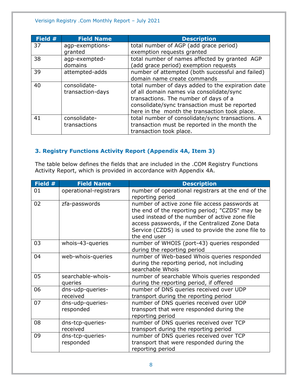| Field # | <b>Field Name</b> | <b>Description</b>                                |
|---------|-------------------|---------------------------------------------------|
| 37      | agp-exemptions-   | total number of AGP (add grace period)            |
|         | granted           | exemption requests granted                        |
| 38      | agp-exempted-     | total number of names affected by granted AGP     |
|         | domains           | (add grace period) exemption requests             |
| 39      | attempted-adds    | number of attempted (both successful and failed)  |
|         |                   | domain name create commands                       |
| 40      | consolidate-      | total number of days added to the expiration date |
|         | transaction-days  | of all domain names via consolidate/sync          |
|         |                   | transactions. The number of days of a             |
|         |                   | consolidate/sync transaction must be reported     |
|         |                   | here in the month the transaction took place.     |
| 41      | consolidate-      | total number of consolidate/sync transactions. A  |
|         | transactions      | transaction must be reported in the month the     |
|         |                   | transaction took place.                           |

### <span id="page-7-0"></span>**3. Registry Functions Activity Report (Appendix 4A, Item 3)**

The table below defines the fields that are included in the .COM Registry Functions Activity Report, which is provided in accordance with Appendix 4A.

| Field # | <b>Field Name</b>             | <b>Description</b>                                                                                                                                                                                                                                                         |
|---------|-------------------------------|----------------------------------------------------------------------------------------------------------------------------------------------------------------------------------------------------------------------------------------------------------------------------|
| 01      | operational-registrars        | number of operational registrars at the end of the<br>reporting period                                                                                                                                                                                                     |
| 02      | zfa-passwords                 | number of active zone file access passwords at<br>the end of the reporting period; "CZDS" may be<br>used instead of the number of active zone file<br>access passwords, if the Centralized Zone Data<br>Service (CZDS) is used to provide the zone file to<br>the end user |
| 03      | whois-43-queries              | number of WHOIS (port-43) queries responded<br>during the reporting period                                                                                                                                                                                                 |
| 04      | web-whois-queries             | number of Web-based Whois queries responded<br>during the reporting period, not including<br>searchable Whois                                                                                                                                                              |
| 05      | searchable-whois-<br>queries  | number of searchable Whois queries responded<br>during the reporting period, if offered                                                                                                                                                                                    |
| 06      | dns-udp-queries-<br>received  | number of DNS queries received over UDP<br>transport during the reporting period                                                                                                                                                                                           |
| 07      | dns-udp-queries-<br>responded | number of DNS queries received over UDP<br>transport that were responded during the<br>reporting period                                                                                                                                                                    |
| 08      | dns-tcp-queries-<br>received  | number of DNS queries received over TCP<br>transport during the reporting period                                                                                                                                                                                           |
| 09      | dns-tcp-queries-<br>responded | number of DNS queries received over TCP<br>transport that were responded during the<br>reporting period                                                                                                                                                                    |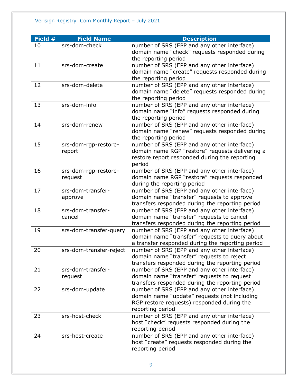| Field # | <b>Field Name</b>       | <b>Description</b>                               |
|---------|-------------------------|--------------------------------------------------|
| 10      | srs-dom-check           | number of SRS (EPP and any other interface)      |
|         |                         | domain name "check" requests responded during    |
|         |                         | the reporting period                             |
| 11      | srs-dom-create          | number of SRS (EPP and any other interface)      |
|         |                         | domain name "create" requests responded during   |
|         |                         | the reporting period                             |
| 12      | srs-dom-delete          | number of SRS (EPP and any other interface)      |
|         |                         | domain name "delete" requests responded during   |
|         |                         | the reporting period                             |
| 13      | srs-dom-info            | number of SRS (EPP and any other interface)      |
|         |                         | domain name "info" requests responded during     |
|         |                         | the reporting period                             |
| 14      | srs-dom-renew           | number of SRS (EPP and any other interface)      |
|         |                         | domain name "renew" requests responded during    |
|         |                         | the reporting period                             |
| 15      | srs-dom-rgp-restore-    | number of SRS (EPP and any other interface)      |
|         | report                  | domain name RGP "restore" requests delivering a  |
|         |                         | restore report responded during the reporting    |
|         |                         | period                                           |
| 16      | srs-dom-rgp-restore-    | number of SRS (EPP and any other interface)      |
|         | request                 | domain name RGP "restore" requests responded     |
|         |                         | during the reporting period                      |
| 17      | srs-dom-transfer-       | number of SRS (EPP and any other interface)      |
|         | approve                 | domain name "transfer" requests to approve       |
|         |                         | transfers responded during the reporting period  |
| 18      | srs-dom-transfer-       | number of SRS (EPP and any other interface)      |
|         | cancel                  | domain name "transfer" requests to cancel        |
|         |                         | transfers responded during the reporting period  |
| 19      | srs-dom-transfer-query  | number of SRS (EPP and any other interface)      |
|         |                         | domain name "transfer" requests to query about   |
|         |                         | a transfer responded during the reporting period |
| 20      | srs-dom-transfer-reject | number of SRS (EPP and any other interface)      |
|         |                         | domain name "transfer" requests to reject        |
|         |                         | transfers responded during the reporting period  |
| 21      | srs-dom-transfer-       | number of SRS (EPP and any other interface)      |
|         | request                 | domain name "transfer" requests to request       |
|         |                         | transfers responded during the reporting period  |
| 22      | srs-dom-update          | number of SRS (EPP and any other interface)      |
|         |                         | domain name "update" requests (not including     |
|         |                         | RGP restore requests) responded during the       |
|         |                         | reporting period                                 |
| 23      | srs-host-check          | number of SRS (EPP and any other interface)      |
|         |                         | host "check" requests responded during the       |
|         |                         | reporting period                                 |
| 24      | srs-host-create         | number of SRS (EPP and any other interface)      |
|         |                         | host "create" requests responded during the      |
|         |                         | reporting period                                 |